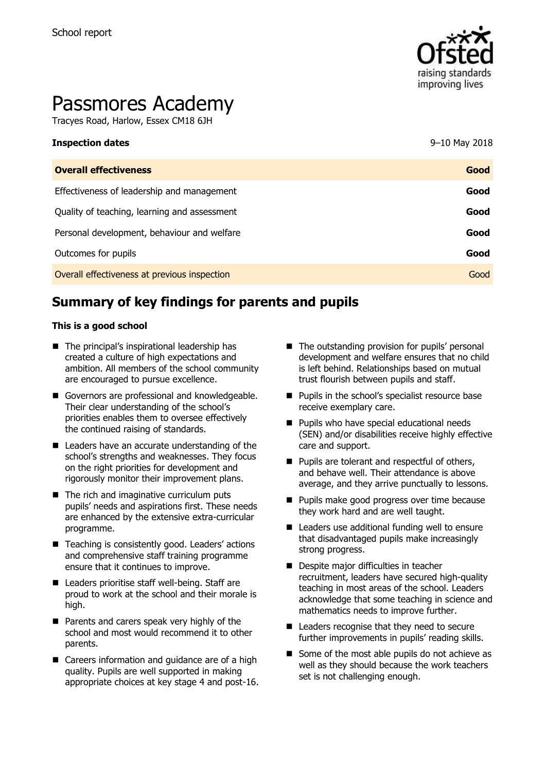

# Passmores Academy

Tracyes Road, Harlow, Essex CM18 6JH

| <b>Overall effectiveness</b>                 | Good |
|----------------------------------------------|------|
| Effectiveness of leadership and management   | Good |
| Quality of teaching, learning and assessment | Good |
| Personal development, behaviour and welfare  | Good |
| Outcomes for pupils                          | Good |
| Overall effectiveness at previous inspection | Good |

**Inspection dates** 9–10 May 2018

# **Summary of key findings for parents and pupils**

#### **This is a good school**

- The principal's inspirational leadership has created a culture of high expectations and ambition. All members of the school community are encouraged to pursue excellence.
- Governors are professional and knowledgeable. Their clear understanding of the school's priorities enables them to oversee effectively the continued raising of standards.
- Leaders have an accurate understanding of the school's strengths and weaknesses. They focus on the right priorities for development and rigorously monitor their improvement plans.
- The rich and imaginative curriculum puts pupils' needs and aspirations first. These needs are enhanced by the extensive extra-curricular programme.
- Teaching is consistently good. Leaders' actions and comprehensive staff training programme ensure that it continues to improve.
- Leaders prioritise staff well-being. Staff are proud to work at the school and their morale is high.
- Parents and carers speak very highly of the school and most would recommend it to other parents.
- Careers information and quidance are of a high quality. Pupils are well supported in making appropriate choices at key stage 4 and post-16.
- $\blacksquare$  The outstanding provision for pupils' personal development and welfare ensures that no child is left behind. Relationships based on mutual trust flourish between pupils and staff.
- **Pupils in the school's specialist resource base** receive exemplary care.
- **Pupils who have special educational needs** (SEN) and/or disabilities receive highly effective care and support.
- Pupils are tolerant and respectful of others, and behave well. Their attendance is above average, and they arrive punctually to lessons.
- **Pupils make good progress over time because** they work hard and are well taught.
- Leaders use additional funding well to ensure that disadvantaged pupils make increasingly strong progress.
- Despite major difficulties in teacher recruitment, leaders have secured high-quality teaching in most areas of the school. Leaders acknowledge that some teaching in science and mathematics needs to improve further.
- Leaders recognise that they need to secure further improvements in pupils' reading skills.
- Some of the most able pupils do not achieve as well as they should because the work teachers set is not challenging enough.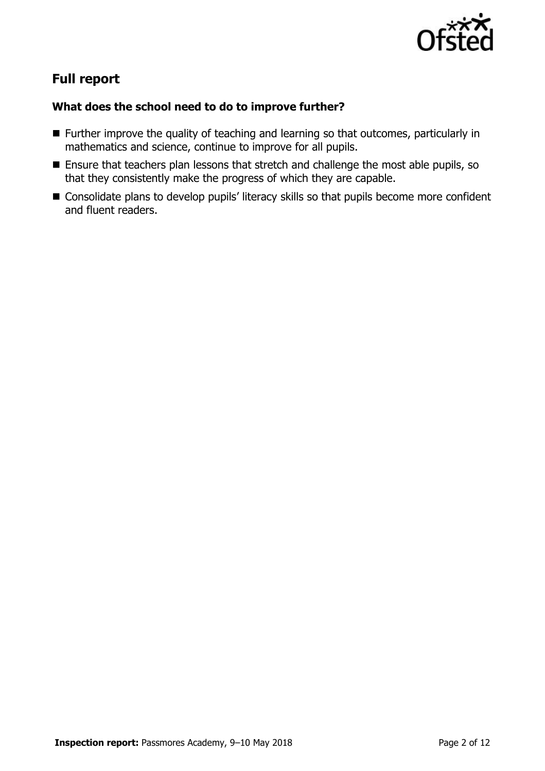

# **Full report**

### **What does the school need to do to improve further?**

- **Further improve the quality of teaching and learning so that outcomes, particularly in** mathematics and science, continue to improve for all pupils.
- **Ensure that teachers plan lessons that stretch and challenge the most able pupils, so** that they consistently make the progress of which they are capable.
- Consolidate plans to develop pupils' literacy skills so that pupils become more confident and fluent readers.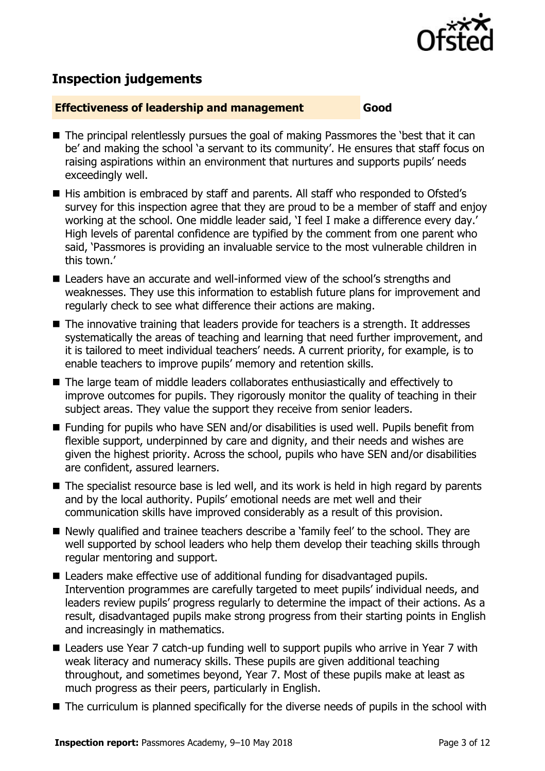

# **Inspection judgements**

#### **Effectiveness of leadership and management Good**

- The principal relentlessly pursues the goal of making Passmores the 'best that it can be' and making the school 'a servant to its community'. He ensures that staff focus on raising aspirations within an environment that nurtures and supports pupils' needs exceedingly well.
- His ambition is embraced by staff and parents. All staff who responded to Ofsted's survey for this inspection agree that they are proud to be a member of staff and enjoy working at the school. One middle leader said, 'I feel I make a difference every day.' High levels of parental confidence are typified by the comment from one parent who said, 'Passmores is providing an invaluable service to the most vulnerable children in this town.'
- Leaders have an accurate and well-informed view of the school's strengths and weaknesses. They use this information to establish future plans for improvement and regularly check to see what difference their actions are making.
- The innovative training that leaders provide for teachers is a strength. It addresses systematically the areas of teaching and learning that need further improvement, and it is tailored to meet individual teachers' needs. A current priority, for example, is to enable teachers to improve pupils' memory and retention skills.
- The large team of middle leaders collaborates enthusiastically and effectively to improve outcomes for pupils. They rigorously monitor the quality of teaching in their subject areas. They value the support they receive from senior leaders.
- Funding for pupils who have SEN and/or disabilities is used well. Pupils benefit from flexible support, underpinned by care and dignity, and their needs and wishes are given the highest priority. Across the school, pupils who have SEN and/or disabilities are confident, assured learners.
- The specialist resource base is led well, and its work is held in high regard by parents and by the local authority. Pupils' emotional needs are met well and their communication skills have improved considerably as a result of this provision.
- Newly qualified and trainee teachers describe a 'family feel' to the school. They are well supported by school leaders who help them develop their teaching skills through regular mentoring and support.
- Leaders make effective use of additional funding for disadvantaged pupils. Intervention programmes are carefully targeted to meet pupils' individual needs, and leaders review pupils' progress regularly to determine the impact of their actions. As a result, disadvantaged pupils make strong progress from their starting points in English and increasingly in mathematics.
- Leaders use Year 7 catch-up funding well to support pupils who arrive in Year 7 with weak literacy and numeracy skills. These pupils are given additional teaching throughout, and sometimes beyond, Year 7. Most of these pupils make at least as much progress as their peers, particularly in English.
- The curriculum is planned specifically for the diverse needs of pupils in the school with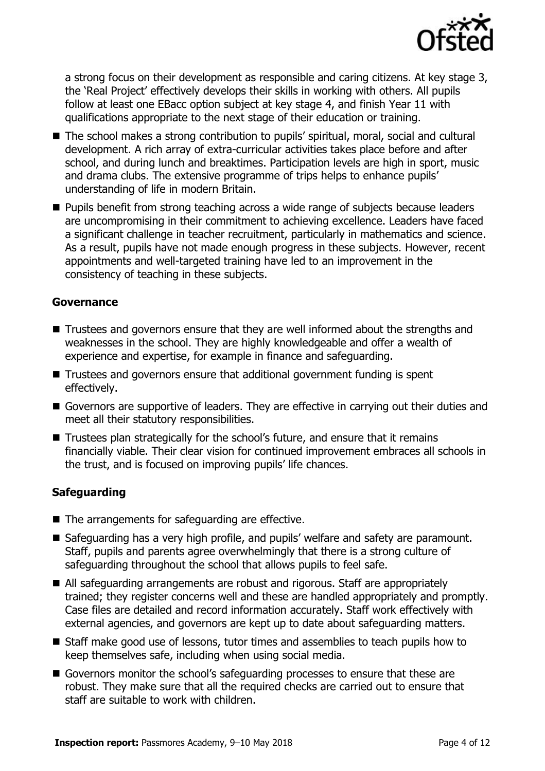

a strong focus on their development as responsible and caring citizens. At key stage 3, the 'Real Project' effectively develops their skills in working with others. All pupils follow at least one EBacc option subject at key stage 4, and finish Year 11 with qualifications appropriate to the next stage of their education or training.

- The school makes a strong contribution to pupils' spiritual, moral, social and cultural development. A rich array of extra-curricular activities takes place before and after school, and during lunch and breaktimes. Participation levels are high in sport, music and drama clubs. The extensive programme of trips helps to enhance pupils' understanding of life in modern Britain.
- **Pupils benefit from strong teaching across a wide range of subjects because leaders** are uncompromising in their commitment to achieving excellence. Leaders have faced a significant challenge in teacher recruitment, particularly in mathematics and science. As a result, pupils have not made enough progress in these subjects. However, recent appointments and well-targeted training have led to an improvement in the consistency of teaching in these subjects.

#### **Governance**

- Trustees and governors ensure that they are well informed about the strengths and weaknesses in the school. They are highly knowledgeable and offer a wealth of experience and expertise, for example in finance and safeguarding.
- Trustees and governors ensure that additional government funding is spent effectively.
- Governors are supportive of leaders. They are effective in carrying out their duties and meet all their statutory responsibilities.
- Trustees plan strategically for the school's future, and ensure that it remains financially viable. Their clear vision for continued improvement embraces all schools in the trust, and is focused on improving pupils' life chances.

#### **Safeguarding**

- The arrangements for safeguarding are effective.
- Safeguarding has a very high profile, and pupils' welfare and safety are paramount. Staff, pupils and parents agree overwhelmingly that there is a strong culture of safeguarding throughout the school that allows pupils to feel safe.
- All safeguarding arrangements are robust and rigorous. Staff are appropriately trained; they register concerns well and these are handled appropriately and promptly. Case files are detailed and record information accurately. Staff work effectively with external agencies, and governors are kept up to date about safeguarding matters.
- Staff make good use of lessons, tutor times and assemblies to teach pupils how to keep themselves safe, including when using social media.
- Governors monitor the school's safeguarding processes to ensure that these are robust. They make sure that all the required checks are carried out to ensure that staff are suitable to work with children.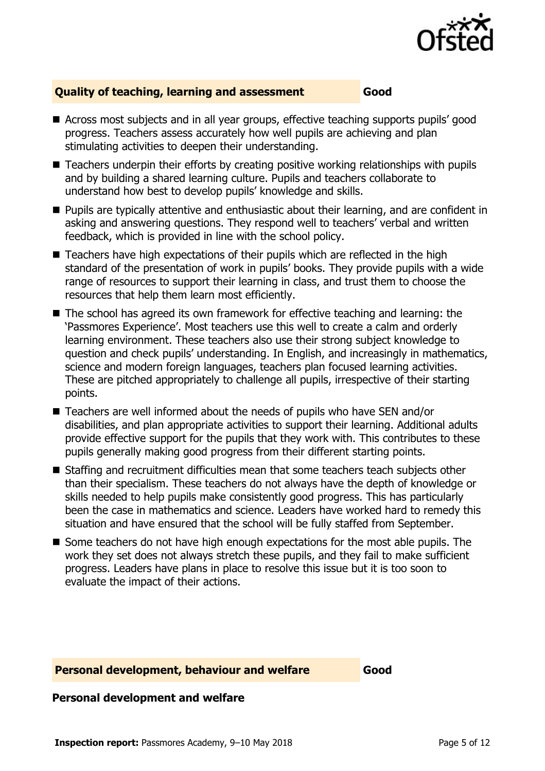

#### **Quality of teaching, learning and assessment Good**

- Across most subjects and in all year groups, effective teaching supports pupils' good progress. Teachers assess accurately how well pupils are achieving and plan stimulating activities to deepen their understanding.
- Teachers underpin their efforts by creating positive working relationships with pupils and by building a shared learning culture. Pupils and teachers collaborate to understand how best to develop pupils' knowledge and skills.
- **Pupils are typically attentive and enthusiastic about their learning, and are confident in** asking and answering questions. They respond well to teachers' verbal and written feedback, which is provided in line with the school policy.
- Teachers have high expectations of their pupils which are reflected in the high standard of the presentation of work in pupils' books. They provide pupils with a wide range of resources to support their learning in class, and trust them to choose the resources that help them learn most efficiently.
- The school has agreed its own framework for effective teaching and learning: the 'Passmores Experience'. Most teachers use this well to create a calm and orderly learning environment. These teachers also use their strong subject knowledge to question and check pupils' understanding. In English, and increasingly in mathematics, science and modern foreign languages, teachers plan focused learning activities. These are pitched appropriately to challenge all pupils, irrespective of their starting points.
- Teachers are well informed about the needs of pupils who have SEN and/or disabilities, and plan appropriate activities to support their learning. Additional adults provide effective support for the pupils that they work with. This contributes to these pupils generally making good progress from their different starting points.
- Staffing and recruitment difficulties mean that some teachers teach subjects other than their specialism. These teachers do not always have the depth of knowledge or skills needed to help pupils make consistently good progress. This has particularly been the case in mathematics and science. Leaders have worked hard to remedy this situation and have ensured that the school will be fully staffed from September.
- Some teachers do not have high enough expectations for the most able pupils. The work they set does not always stretch these pupils, and they fail to make sufficient progress. Leaders have plans in place to resolve this issue but it is too soon to evaluate the impact of their actions.

#### **Personal development, behaviour and welfare Good**

#### **Personal development and welfare**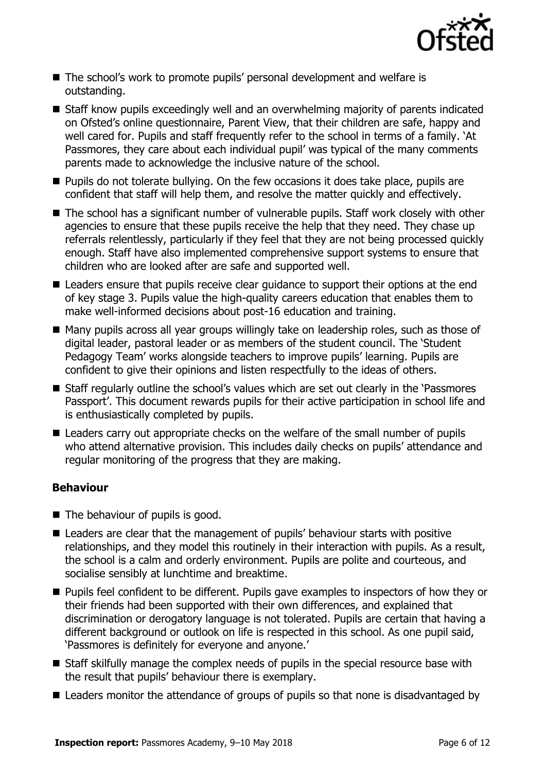

- The school's work to promote pupils' personal development and welfare is outstanding.
- Staff know pupils exceedingly well and an overwhelming majority of parents indicated on Ofsted's online questionnaire, Parent View, that their children are safe, happy and well cared for. Pupils and staff frequently refer to the school in terms of a family. 'At Passmores, they care about each individual pupil' was typical of the many comments parents made to acknowledge the inclusive nature of the school.
- **Pupils do not tolerate bullying. On the few occasions it does take place, pupils are** confident that staff will help them, and resolve the matter quickly and effectively.
- The school has a significant number of vulnerable pupils. Staff work closely with other agencies to ensure that these pupils receive the help that they need. They chase up referrals relentlessly, particularly if they feel that they are not being processed quickly enough. Staff have also implemented comprehensive support systems to ensure that children who are looked after are safe and supported well.
- Leaders ensure that pupils receive clear quidance to support their options at the end of key stage 3. Pupils value the high-quality careers education that enables them to make well-informed decisions about post-16 education and training.
- Many pupils across all year groups willingly take on leadership roles, such as those of digital leader, pastoral leader or as members of the student council. The 'Student Pedagogy Team' works alongside teachers to improve pupils' learning. Pupils are confident to give their opinions and listen respectfully to the ideas of others.
- Staff regularly outline the school's values which are set out clearly in the 'Passmores Passport'. This document rewards pupils for their active participation in school life and is enthusiastically completed by pupils.
- Leaders carry out appropriate checks on the welfare of the small number of pupils who attend alternative provision. This includes daily checks on pupils' attendance and regular monitoring of the progress that they are making.

#### **Behaviour**

- $\blacksquare$  The behaviour of pupils is good.
- Leaders are clear that the management of pupils' behaviour starts with positive relationships, and they model this routinely in their interaction with pupils. As a result, the school is a calm and orderly environment. Pupils are polite and courteous, and socialise sensibly at lunchtime and breaktime.
- **Pupils feel confident to be different. Pupils gave examples to inspectors of how they or** their friends had been supported with their own differences, and explained that discrimination or derogatory language is not tolerated. Pupils are certain that having a different background or outlook on life is respected in this school. As one pupil said, 'Passmores is definitely for everyone and anyone.'
- Staff skilfully manage the complex needs of pupils in the special resource base with the result that pupils' behaviour there is exemplary.
- Leaders monitor the attendance of groups of pupils so that none is disadvantaged by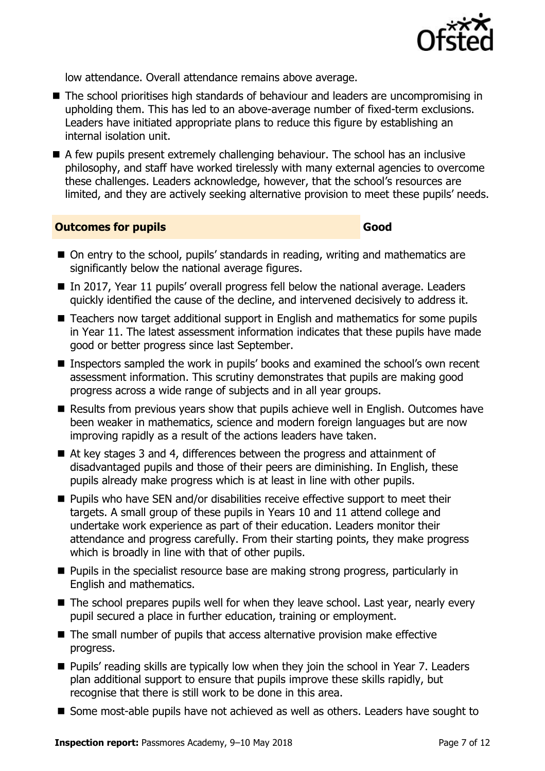

low attendance. Overall attendance remains above average.

- The school prioritises high standards of behaviour and leaders are uncompromising in upholding them. This has led to an above-average number of fixed-term exclusions. Leaders have initiated appropriate plans to reduce this figure by establishing an internal isolation unit.
- A few pupils present extremely challenging behaviour. The school has an inclusive philosophy, and staff have worked tirelessly with many external agencies to overcome these challenges. Leaders acknowledge, however, that the school's resources are limited, and they are actively seeking alternative provision to meet these pupils' needs.

#### **Outcomes for pupils Good**

- On entry to the school, pupils' standards in reading, writing and mathematics are significantly below the national average figures.
- In 2017, Year 11 pupils' overall progress fell below the national average. Leaders quickly identified the cause of the decline, and intervened decisively to address it.
- Teachers now target additional support in English and mathematics for some pupils in Year 11. The latest assessment information indicates that these pupils have made good or better progress since last September.
- Inspectors sampled the work in pupils' books and examined the school's own recent assessment information. This scrutiny demonstrates that pupils are making good progress across a wide range of subjects and in all year groups.
- Results from previous years show that pupils achieve well in English. Outcomes have been weaker in mathematics, science and modern foreign languages but are now improving rapidly as a result of the actions leaders have taken.
- At key stages 3 and 4, differences between the progress and attainment of disadvantaged pupils and those of their peers are diminishing. In English, these pupils already make progress which is at least in line with other pupils.
- **Pupils who have SEN and/or disabilities receive effective support to meet their** targets. A small group of these pupils in Years 10 and 11 attend college and undertake work experience as part of their education. Leaders monitor their attendance and progress carefully. From their starting points, they make progress which is broadly in line with that of other pupils.
- **Pupils in the specialist resource base are making strong progress, particularly in** English and mathematics.
- The school prepares pupils well for when they leave school. Last year, nearly every pupil secured a place in further education, training or employment.
- The small number of pupils that access alternative provision make effective progress.
- Pupils' reading skills are typically low when they join the school in Year 7. Leaders plan additional support to ensure that pupils improve these skills rapidly, but recognise that there is still work to be done in this area.
- Some most-able pupils have not achieved as well as others. Leaders have sought to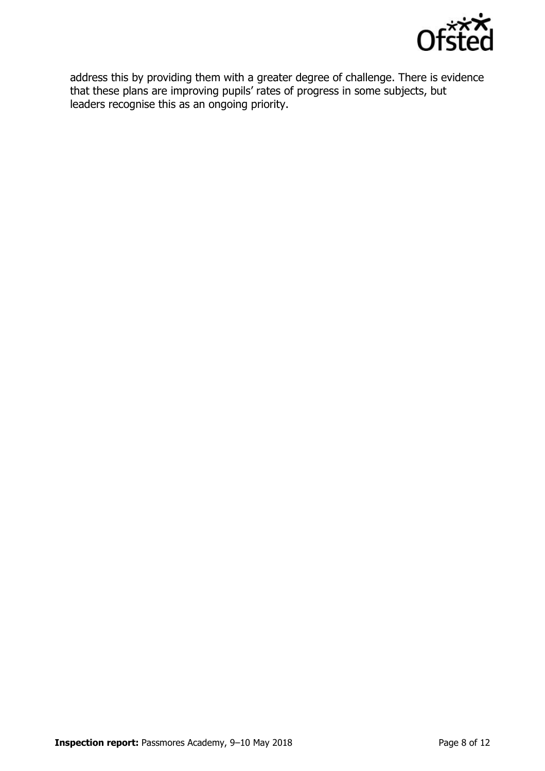

address this by providing them with a greater degree of challenge. There is evidence that these plans are improving pupils' rates of progress in some subjects, but leaders recognise this as an ongoing priority.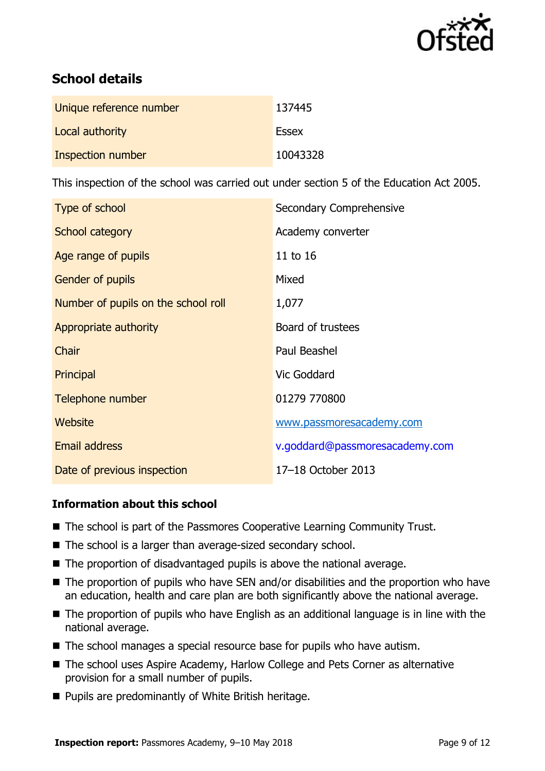

# **School details**

| Unique reference number | 137445       |
|-------------------------|--------------|
| Local authority         | <b>Essex</b> |
| Inspection number       | 10043328     |

This inspection of the school was carried out under section 5 of the Education Act 2005.

| Type of school                      | Secondary Comprehensive        |
|-------------------------------------|--------------------------------|
| School category                     | Academy converter              |
| Age range of pupils                 | 11 to 16                       |
| Gender of pupils                    | Mixed                          |
| Number of pupils on the school roll | 1,077                          |
| Appropriate authority               | Board of trustees              |
| Chair                               | Paul Beashel                   |
| Principal                           | Vic Goddard                    |
| Telephone number                    | 01279 770800                   |
| Website                             | www.passmoresacademy.com       |
| <b>Email address</b>                | v.goddard@passmoresacademy.com |
| Date of previous inspection         | 17-18 October 2013             |

## **Information about this school**

- The school is part of the Passmores Cooperative Learning Community Trust.
- The school is a larger than average-sized secondary school.
- The proportion of disadvantaged pupils is above the national average.
- The proportion of pupils who have SEN and/or disabilities and the proportion who have an education, health and care plan are both significantly above the national average.
- The proportion of pupils who have English as an additional language is in line with the national average.
- The school manages a special resource base for pupils who have autism.
- The school uses Aspire Academy, Harlow College and Pets Corner as alternative provision for a small number of pupils.
- **Pupils are predominantly of White British heritage.**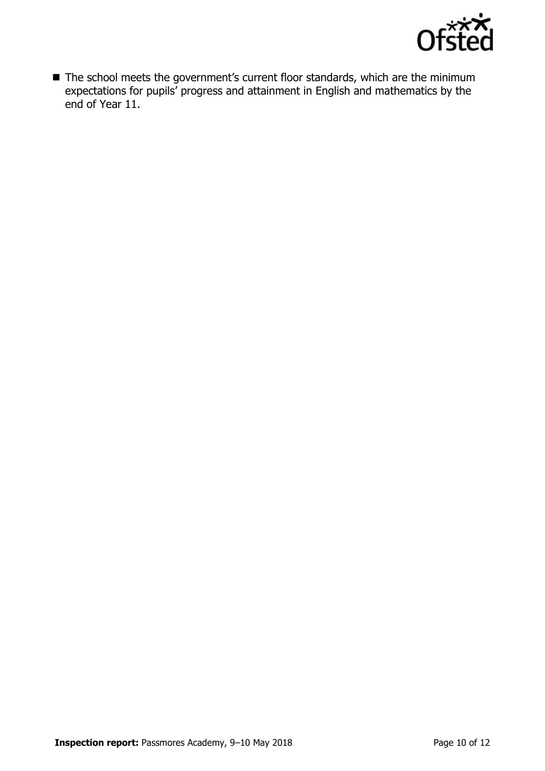

■ The school meets the government's current floor standards, which are the minimum expectations for pupils' progress and attainment in English and mathematics by the end of Year 11.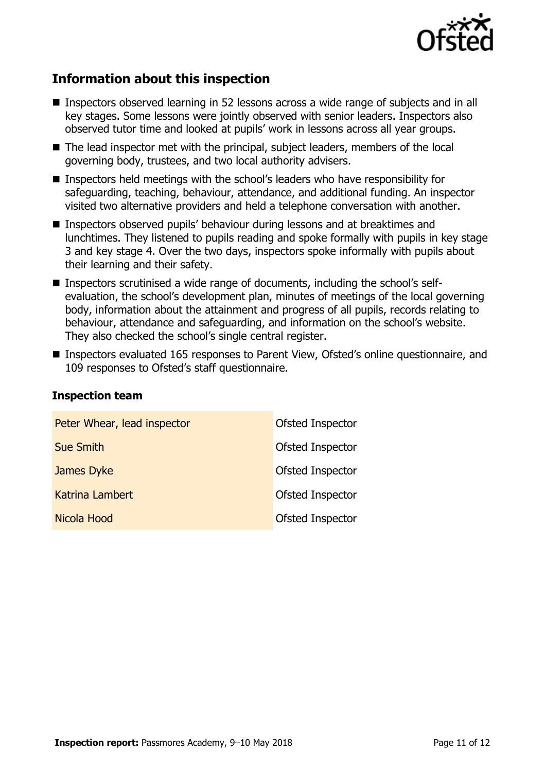

# **Information about this inspection**

- Inspectors observed learning in 52 lessons across a wide range of subjects and in all key stages. Some lessons were jointly observed with senior leaders. Inspectors also observed tutor time and looked at pupils' work in lessons across all year groups.
- The lead inspector met with the principal, subject leaders, members of the local governing body, trustees, and two local authority advisers.
- Inspectors held meetings with the school's leaders who have responsibility for safeguarding, teaching, behaviour, attendance, and additional funding. An inspector visited two alternative providers and held a telephone conversation with another.
- Inspectors observed pupils' behaviour during lessons and at breaktimes and lunchtimes. They listened to pupils reading and spoke formally with pupils in key stage 3 and key stage 4. Over the two days, inspectors spoke informally with pupils about their learning and their safety.
- Inspectors scrutinised a wide range of documents, including the school's selfevaluation, the school's development plan, minutes of meetings of the local governing body, information about the attainment and progress of all pupils, records relating to behaviour, attendance and safeguarding, and information on the school's website. They also checked the school's single central register.
- Inspectors evaluated 165 responses to Parent View, Ofsted's online questionnaire, and 109 responses to Ofsted's staff questionnaire.

| Peter Whear, lead inspector | Ofsted Inspector |
|-----------------------------|------------------|
| <b>Sue Smith</b>            | Ofsted Inspector |
| James Dyke                  | Ofsted Inspector |
| Katrina Lambert             | Ofsted Inspector |
| Nicola Hood                 | Ofsted Inspector |

#### **Inspection team**